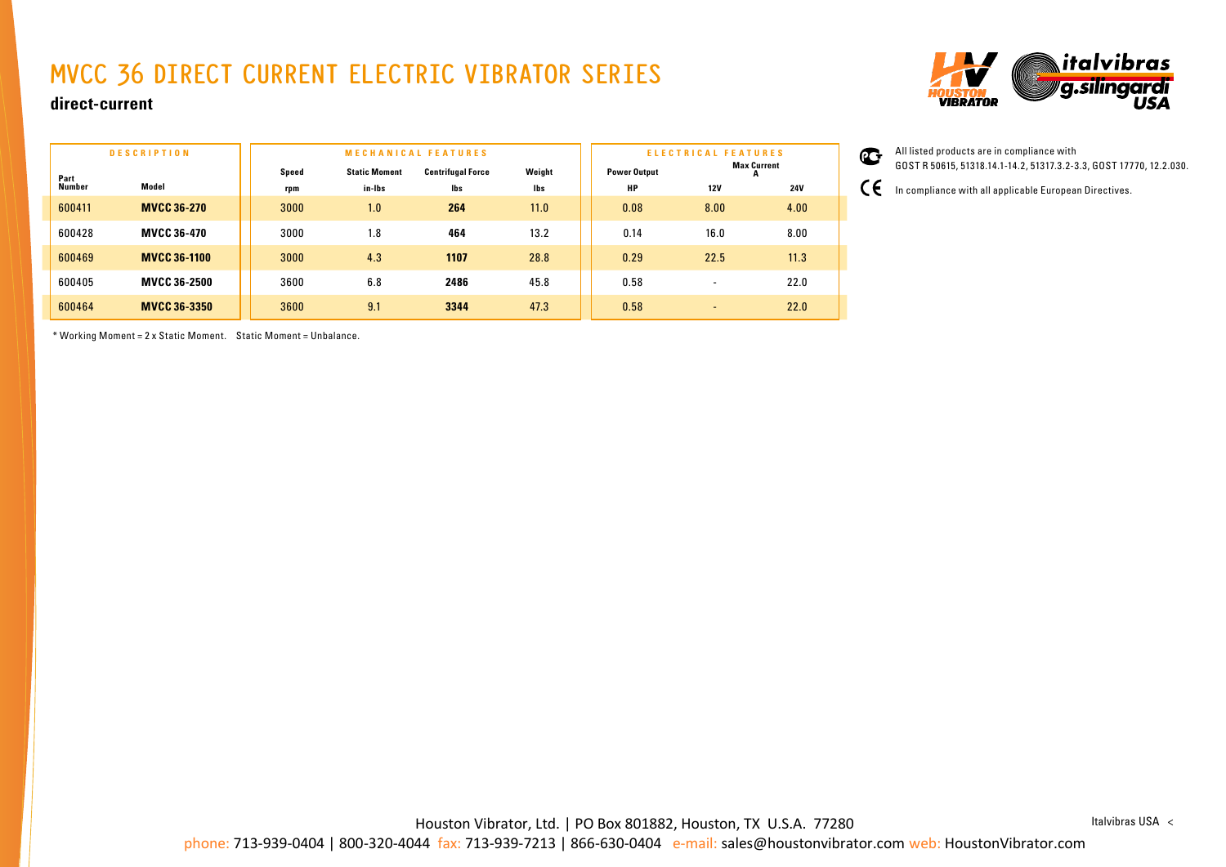## **MVCC 36 DIRECT CURRENT ELECTRIC VIBRATOR SERIES**



GOST R 50615, 51318.14.1-14.2, 51317.3.2-3.3, GOST 17770, 12.2.030.

All listed products are in compliance with

 $\mathbf{C}$ 

In compliance with all applicable European Directives.

## **direct-current**

| <b>DESCRIPTION</b>    |                     |       |                      | <b>MECHANICAL FEATURES</b> | <b>ELECTRICAL FEATURES</b> |                     |                          |                    |  |
|-----------------------|---------------------|-------|----------------------|----------------------------|----------------------------|---------------------|--------------------------|--------------------|--|
| Part<br><b>Number</b> | Model               | Speed | <b>Static Moment</b> | <b>Centrifugal Force</b>   | Weight                     | <b>Power Output</b> |                          | <b>Max Current</b> |  |
|                       |                     | rpm   | in-Ibs               | lbs                        | lbs                        | HP                  | <b>12V</b>               | <b>24V</b>         |  |
| 600411                | <b>MVCC 36-270</b>  | 3000  | 1.0                  | 264                        | 11.0                       | 0.08                | 8.00                     | 4.00               |  |
| 600428                | <b>MVCC 36-470</b>  | 3000  | 1.8                  | 464                        | 13.2                       | 0.14                | 16.0                     | 8.00               |  |
| 600469                | <b>MVCC 36-1100</b> | 3000  | 4.3                  | 1107                       | 28.8                       | 0.29                | 22.5                     | 11.3               |  |
| 600405                | <b>MVCC 36-2500</b> | 3600  | 6.8                  | 2486                       | 45.8                       | 0.58                |                          | 22.0               |  |
| 600464                | <b>MVCC 36-3350</b> | 3600  | 9.1                  | 3344                       | 47.3                       | 0.58                | $\overline{\phantom{a}}$ | 22.0               |  |

\* Working Moment = 2 x Static Moment. Static Moment = Unbalance.